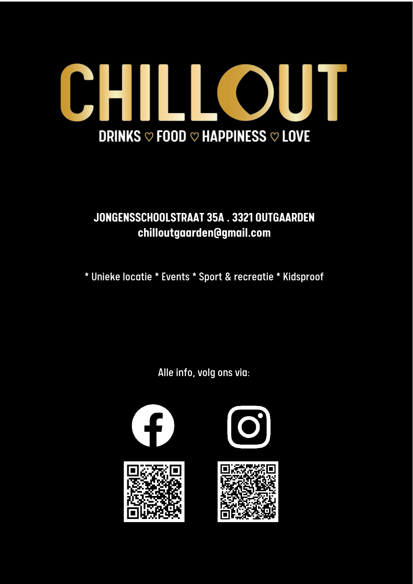

### **JONGENSSCHOOLSTRAAT 35A . 3321 OUTGAARDEN chilloutgaarden@gmail.com**

\* Unieke locatie \* Events \* Sport & recreatie \* Kidsproof

Alle info, volg ons via:

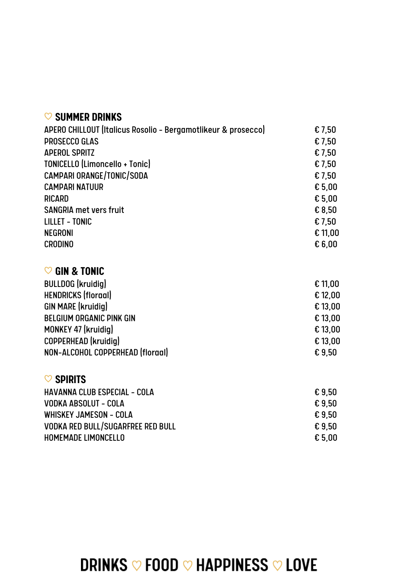#### ♡ **SUMMER DRINKS**

| APERO CHILLOUT (Italicus Rosolio - Bergamotlikeur & prosecco) | £7,50   |
|---------------------------------------------------------------|---------|
| <b>PROSECCO GLAS</b>                                          | € 7,50  |
| <b>APEROL SPRITZ</b>                                          | € 7,50  |
| TONICELLO (Limoncello + Tonic)                                | € 7,50  |
| CAMPARI ORANGE/TONIC/SODA                                     | € 7,50  |
| <b>CAMPARI NATUUR</b>                                         | € 5,00  |
| <b>RICARD</b>                                                 | £5,00   |
| <b>SANGRIA met vers fruit</b>                                 | € 8,50  |
| <b>LILLET - TONIC</b>                                         | € 7,50  |
| <b>NEGRONI</b>                                                | € 11,00 |
| <b>CRODINO</b>                                                | E6,00   |
|                                                               |         |
| <b>GIN &amp; TONIC</b><br>$\infty$                            |         |
| <b>BULLDOG</b> (kruidig)                                      | £ 11,00 |
| <b>HENDRICKS (floraal)</b>                                    | £ 12,00 |
| <b>GIN MARE (kruidig)</b>                                     | € 13,00 |
| <b>BELGIUM ORGANIC PINK GIN</b>                               | £ 13,00 |
| MONKEY 47 (kruidig)                                           | € 13,00 |
| COPPERHEAD (kruidig)                                          | € 13,00 |
| NON-ALCOHOL COPPERHEAD (floraal)                              | €9,50   |
|                                                               |         |
| $\heartsuit$ spirits                                          |         |
| <b>HAVANNA CLUB ESPECIAL - COLA</b>                           | £ 9,50  |
| VODKA ABSOLUT - COLA                                          | €9,50   |
| <b>WHISKEY JAMESON - COLA</b>                                 | €9,50   |
| <b>VODKA RED BULL/SUGARFREE RED BULL</b>                      | €9,50   |
| HOMEMADE LIMONCELLO                                           | £5,00   |
|                                                               |         |

# **DRINKS ♡ FOOD ♡ HAPPINESS ♡ LOVE**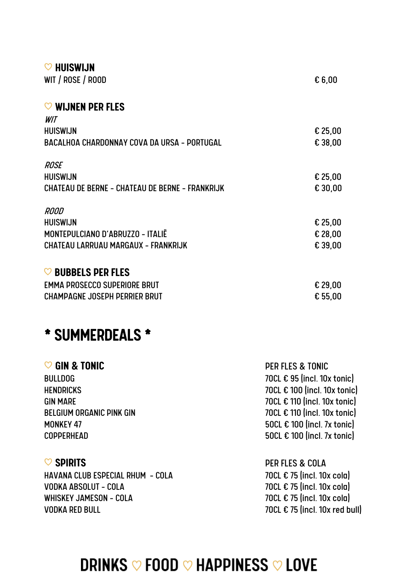| $\heartsuit$ HUISWIJN                                  |           |
|--------------------------------------------------------|-----------|
| WIT / ROSE / ROOD                                      | £6,00     |
| $\heartsuit$ wijnen per fles                           |           |
| WIT                                                    |           |
| <b>HUISWIJN</b>                                        | $£$ 25,00 |
| BACALHOA CHARDONNAY COVA DA URSA - PORTUGAL            | € 38,00   |
| <b>ROSE</b>                                            |           |
| <b>HUISWIJN</b>                                        | $£$ 25,00 |
| <b>CHATEAU DE BERNE - CHATEAU DE BERNE - FRANKRIJK</b> | € 30,00   |
| ROOD                                                   |           |
| <b>HUISWIJN</b>                                        | $£$ 25,00 |
| MONTEPULCIANO D'ABRUZZO - ITALIË                       | € 28,00   |
| CHATEAU LARRUAU MARGAUX - FRANKRIJK                    | € 39,00   |
| <b>BUBBELS PER FLES</b><br>$\circ$                     |           |
| <b>EMMA PROSECCO SUPERIORE BRUT</b>                    | $£$ 29,00 |
| <b>CHAMPAGNE JOSEPH PERRIER BRUT</b>                   | £55,00    |

### \* SUMMERDEALS \*

| <b>PER FLES &amp; TONIC</b>          |
|--------------------------------------|
| 70CL € 95 (incl. 10x tonic)          |
| 70CL € 100 (incl. 10x tonic)         |
| 70CL € 110 (incl. 10x tonic)         |
| 70CL € 110 (incl. 10x tonic)         |
| 50CL $\epsilon$ 100 (incl. 7x tonic) |
| 50CL $\epsilon$ 100 (incl. 7x tonic) |
|                                      |
|                                      |

HAVANA CLUB ESPECIAL RHUM - COLA VODKA ABSOLUT - COLA 70CL  $\epsilon$  75 (incl. 10x cola) WHISKEY JAMESON - COLA  $70CL \in 75$  (incl. 10x cola) VODKA RED BULL 70CL € 75 (incl. 10x red bull)

♡ **SPIRITS** PER FLES & COLA

### **DRINKS ♡ FOOD ♡ HAPPINESS ♡ LOVE**